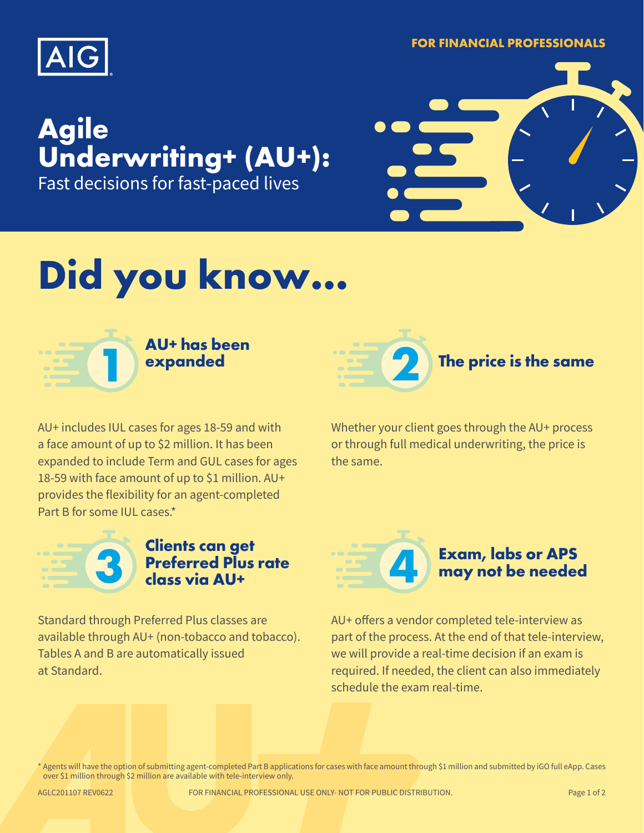

**FOR FINANCIAL PROFESSIONALS**

### **Agile Underwriting+ (AU+):**  Fast decisions for fast-paced lives



## **Did you know…**



**AU+ has been** 



AU+ includes IUL cases for ages 18-59 and with a face amount of up to \$2 million. It has been expanded to include Term and GUL cases for ages 18-59 with face amount of up to \$1 million. AU+ provides the flexibility for an agent-completed Part B for some IIII cases\*

Whether your client goes through the AU+ process or through full medical underwriting, the price is the same.



# **Clients can get Preferred Plus rate 3 class via AU+**

Standard through Preferred Plus classes are available through AU+ (non-tobacco and tobacco). Tables A and B are automatically issued at Standard.



AU+ offers a vendor completed tele-interview as part of the process. At the end of that tele-interview, we will provide a real-time decision if an exam is required. If needed, the client can also immediately schedule the exam real-time.

\* Agents will have the option of submitting agent-completed Part B applications for cases with face amount through \$1 million and submitted by iGO full eApp. Cases over \$1 million through \$2 million are available with tele-interview only.